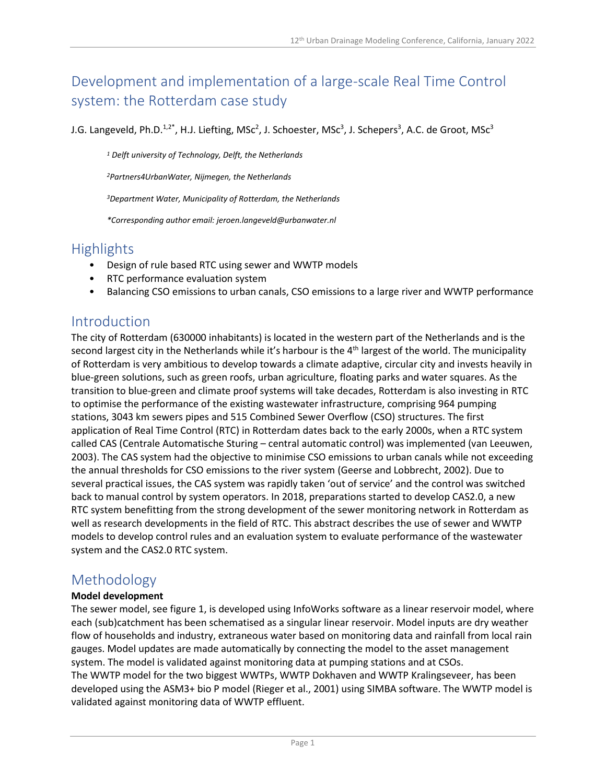# Development and implementation of a large-scale Real Time Control system: the Rotterdam case study

J.G. Langeveld, Ph.D.<sup>1,2\*</sup>, H.J. Liefting, MSc<sup>2</sup>, J. Schoester, MSc<sup>3</sup>, J. Schepers<sup>3</sup>, A.C. de Groot, MSc<sup>3</sup>

*<sup>1</sup> Delft university of Technology, Delft, the Netherlands*

*<sup>2</sup>Partners4UrbanWater, Nijmegen, the Netherlands*

*<sup>3</sup>Department Water, Municipality of Rotterdam, the Netherlands*

*\*Corresponding author email: jeroen.langeveld@urbanwater.nl*

### Highlights

- Design of rule based RTC using sewer and WWTP models
- RTC performance evaluation system
- Balancing CSO emissions to urban canals, CSO emissions to a large river and WWTP performance

## Introduction

The city of Rotterdam (630000 inhabitants) is located in the western part of the Netherlands and is the second largest city in the Netherlands while it's harbour is the  $4<sup>th</sup>$  largest of the world. The municipality of Rotterdam is very ambitious to develop towards a climate adaptive, circular city and invests heavily in blue-green solutions, such as green roofs, urban agriculture, floating parks and water squares. As the transition to blue-green and climate proof systems will take decades, Rotterdam is also investing in RTC to optimise the performance of the existing wastewater infrastructure, comprising 964 pumping stations, 3043 km sewers pipes and 515 Combined Sewer Overflow (CSO) structures. The first application of Real Time Control (RTC) in Rotterdam dates back to the early 2000s, when a RTC system called CAS (Centrale Automatische Sturing – central automatic control) was implemented (van Leeuwen, 2003). The CAS system had the objective to minimise CSO emissions to urban canals while not exceeding the annual thresholds for CSO emissions to the river system (Geerse and Lobbrecht, 2002). Due to several practical issues, the CAS system was rapidly taken 'out of service' and the control was switched back to manual control by system operators. In 2018, preparations started to develop CAS2.0, a new RTC system benefitting from the strong development of the sewer monitoring network in Rotterdam as well as research developments in the field of RTC. This abstract describes the use of sewer and WWTP models to develop control rules and an evaluation system to evaluate performance of the wastewater system and the CAS2.0 RTC system.

## Methodology

#### **Model development**

The sewer model, see figure 1, is developed using InfoWorks software as a linear reservoir model, where each (sub)catchment has been schematised as a singular linear reservoir. Model inputs are dry weather flow of households and industry, extraneous water based on monitoring data and rainfall from local rain gauges. Model updates are made automatically by connecting the model to the asset management system. The model is validated against monitoring data at pumping stations and at CSOs. The WWTP model for the two biggest WWTPs, WWTP Dokhaven and WWTP Kralingseveer, has been developed using the ASM3+ bio P model (Rieger et al., 2001) using SIMBA software. The WWTP model is validated against monitoring data of WWTP effluent.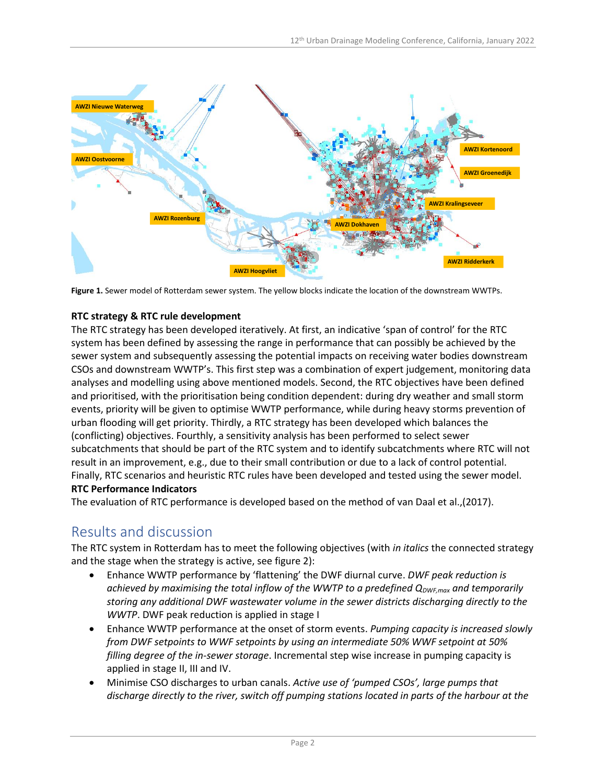

**Figure 1.** Sewer model of Rotterdam sewer system. The yellow blocks indicate the location of the downstream WWTPs.

### **RTC strategy & RTC rule development**

The RTC strategy has been developed iteratively. At first, an indicative 'span of control' for the RTC system has been defined by assessing the range in performance that can possibly be achieved by the sewer system and subsequently assessing the potential impacts on receiving water bodies downstream CSOs and downstream WWTP's. This first step was a combination of expert judgement, monitoring data analyses and modelling using above mentioned models. Second, the RTC objectives have been defined and prioritised, with the prioritisation being condition dependent: during dry weather and small storm events, priority will be given to optimise WWTP performance, while during heavy storms prevention of urban flooding will get priority. Thirdly, a RTC strategy has been developed which balances the (conflicting) objectives. Fourthly, a sensitivity analysis has been performed to select sewer subcatchments that should be part of the RTC system and to identify subcatchments where RTC will not result in an improvement, e.g., due to their small contribution or due to a lack of control potential. Finally, RTC scenarios and heuristic RTC rules have been developed and tested using the sewer model. **RTC Performance Indicators**

The evaluation of RTC performance is developed based on the method of van Daal et al.,(2017).

## Results and discussion

The RTC system in Rotterdam has to meet the following objectives (with *in italics* the connected strategy and the stage when the strategy is active, see figure 2):

- Enhance WWTP performance by 'flattening' the DWF diurnal curve. *DWF peak reduction is achieved by maximising the total inflow of the WWTP to a predefined QDWF,max and temporarily storing any additional DWF wastewater volume in the sewer districts discharging directly to the WWTP*. DWF peak reduction is applied in stage I
- Enhance WWTP performance at the onset of storm events. *Pumping capacity is increased slowly from DWF setpoints to WWF setpoints by using an intermediate 50% WWF setpoint at 50% filling degree of the in-sewer storage*. Incremental step wise increase in pumping capacity is applied in stage II, III and IV.
- Minimise CSO discharges to urban canals. *Active use of 'pumped CSOs', large pumps that discharge directly to the river, switch off pumping stations located in parts of the harbour at the*